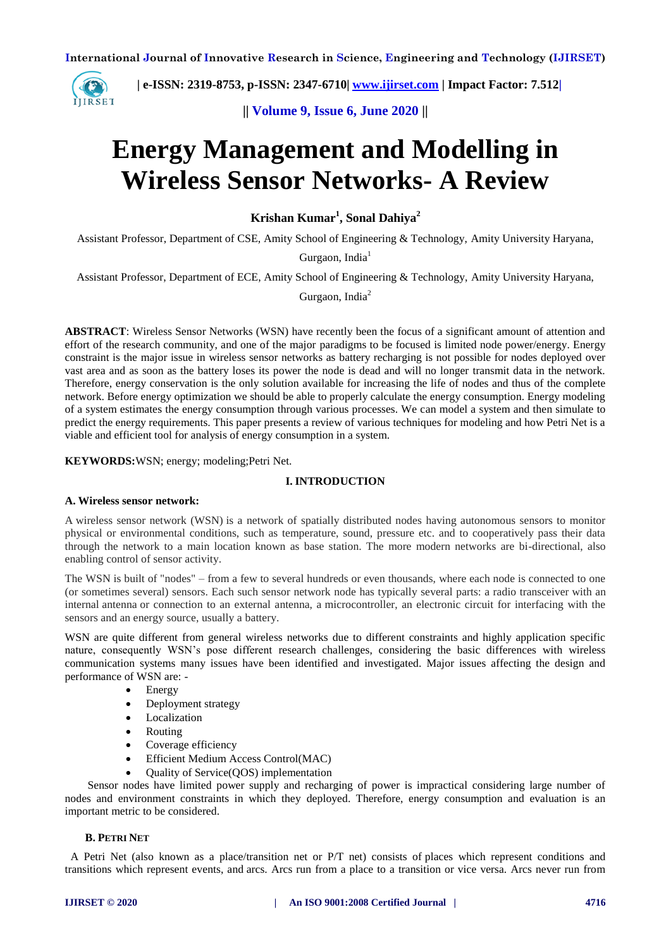

 **| e-ISSN: 2319-8753, p-ISSN: 2347-6710| [www.ijirset.com](http://www.ijirset.com/) | Impact Factor: 7.512|**

**|| Volume 9, Issue 6, June 2020 ||** 

# **Energy Management and Modelling in Wireless Sensor Networks- A Review**

**Krishan Kumar<sup>1</sup> , Sonal Dahiya<sup>2</sup>**

Assistant Professor, Department of CSE, Amity School of Engineering & Technology, Amity University Haryana,

Gurgaon, India $<sup>1</sup>$ </sup>

Assistant Professor, Department of ECE, Amity School of Engineering & Technology, Amity University Haryana,

Gurgaon, India $2$ 

**ABSTRACT**: Wireless Sensor Networks (WSN) have recently been the focus of a significant amount of attention and effort of the research community, and one of the major paradigms to be focused is limited node power/energy. Energy constraint is the major issue in wireless sensor networks as battery recharging is not possible for nodes deployed over vast area and as soon as the battery loses its power the node is dead and will no longer transmit data in the network. Therefore, energy conservation is the only solution available for increasing the life of nodes and thus of the complete network. Before energy optimization we should be able to properly calculate the energy consumption. Energy modeling of a system estimates the energy consumption through various processes. We can model a system and then simulate to predict the energy requirements. This paper presents a review of various techniques for modeling and how Petri Net is a viable and efficient tool for analysis of energy consumption in a system.

**KEYWORDS:**WSN; energy; modeling;Petri Net.

## **I. INTRODUCTION**

## **A. Wireless sensor network:**

A wireless sensor network (WSN) is a network of spatially distributed nodes having autonomous sensors to monitor physical or environmental conditions, such as temperature, sound, pressure etc. and to cooperatively pass their data through the network to a main location known as base station. The more modern networks are bi-directional, also enabling control of sensor activity.

The WSN is built of "nodes" – from a few to several hundreds or even thousands, where each node is connected to one (or sometimes several) sensors. Each such sensor network node has typically several parts: a radio transceiver with an internal [antenna](http://en.wikipedia.org/wiki/Antenna_(radio)) or connection to an external antenna, a microcontroller, an electronic circuit for interfacing with the sensors and an energy source, usually a [battery.](http://en.wikipedia.org/wiki/Battery_(electricity))

WSN are quite different from general wireless networks due to different constraints and highly application specific nature, consequently WSN's pose different research challenges, considering the basic differences with wireless communication systems many issues have been identified and investigated. Major issues affecting the design and performance of WSN are: -

- Energy
- Deployment strategy
- Localization
- Routing
- Coverage efficiency
- Efficient Medium Access Control(MAC)
- Quality of Service(QOS) implementation

 Sensor nodes have limited power supply and recharging of power is impractical considering large number of nodes and environment constraints in which they deployed. Therefore, energy consumption and evaluation is an important metric to be considered.

#### **B. PETRI NET**

 A Petri Net (also known as a place/transition net or P/T net) consists of places which represent conditions and transitions which represent events, and arcs. Arcs run from a place to a transition or vice versa. Arcs never run from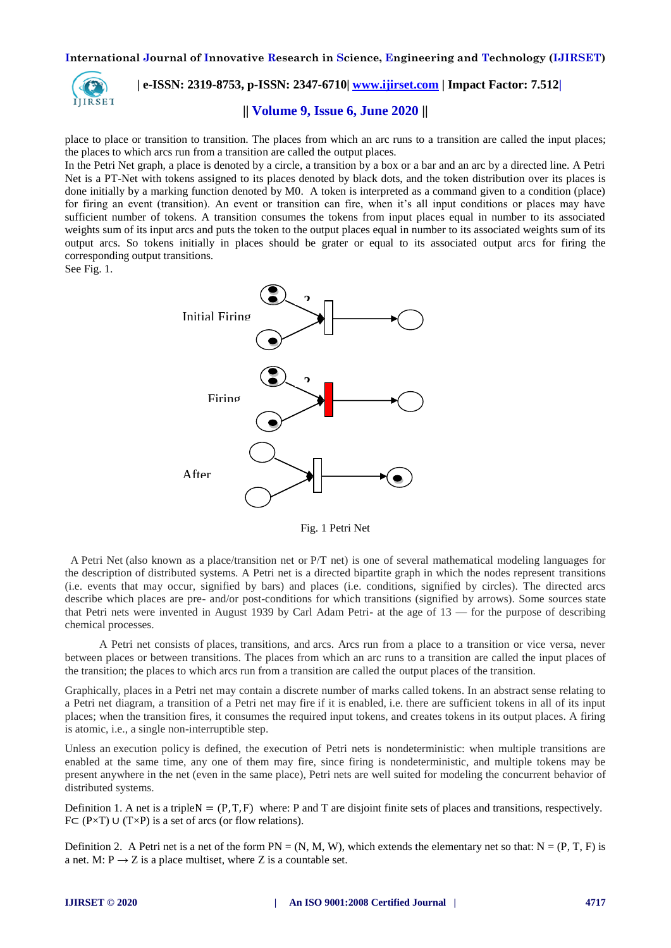

# **| e-ISSN: 2319-8753, p-ISSN: 2347-6710| [www.ijirset.com](http://www.ijirset.com/) | Impact Factor: 7.512|**

## **|| Volume 9, Issue 6, June 2020 ||**

place to place or transition to transition. The places from which an arc runs to a transition are called the input places; the places to which arcs run from a transition are called the output places.

In the Petri Net graph, a place is denoted by a circle, a transition by a box or a bar and an arc by a directed line. A Petri Net is a PT-Net with tokens assigned to its places denoted by black dots, and the token distribution over its places is done initially by a marking function denoted by M0. A token is interpreted as a command given to a condition (place) for firing an event (transition). An event or transition can fire, when it's all input conditions or places may have sufficient number of tokens. A transition consumes the tokens from input places equal in number to its associated weights sum of its input arcs and puts the token to the output places equal in number to its associated weights sum of its output arcs. So tokens initially in places should be grater or equal to its associated output arcs for firing the corresponding output transitions.

See Fig. 1.



Fig. 1 Petri Net

 A Petri Net (also known as a place/transition net or P/T net) is one of several mathematical modeling languages for the description of distributed systems. A Petri net is a directed bipartite graph in which the nodes represent transitions (i.e. events that may occur, signified by bars) and places (i.e. conditions, signified by circles). The directed arcs describe which places are pre- and/or post-conditions for which transitions (signified by arrows). Some sources state that Petri nets were invented in August 1939 by Carl Adam Petri- at the age of 13 — for the purpose of describing chemical processes.

 A Petri net consists of places, transitions, and arcs. Arcs run from a place to a transition or vice versa, never between places or between transitions. The places from which an arc runs to a transition are called the input places of the transition; the places to which arcs run from a transition are called the output places of the transition.

Graphically, places in a Petri net may contain a discrete number of marks called tokens. In an abstract sense relating to a Petri net diagram, a transition of a Petri net may fire if it is enabled, i.e. there are sufficient tokens in all of its input places; when the transition fires, it consumes the required input tokens, and creates tokens in its output places. A firing is atomic, i.e., a single non-interruptible step.

Unless an execution policy is defined, the execution of Petri nets is nondeterministic: when multiple transitions are enabled at the same time, any one of them may fire, since firing is nondeterministic, and multiple tokens may be present anywhere in the net (even in the same place), Petri nets are well suited for modeling the concurrent behavior of distributed systems.

Definition 1. A net is a triple  $N = (P, T, F)$  where: P and T are disjoint finite sets of places and transitions, respectively. F⊂ (P×T) ∪ (T×P) is a set of arcs (or flow relations).

Definition 2. A Petri net is a net of the form  $PN = (N, M, W)$ , which extends the elementary net so that:  $N = (P, T, F)$  is a net. M:  $P \rightarrow Z$  is a place multiset, where Z is a countable set.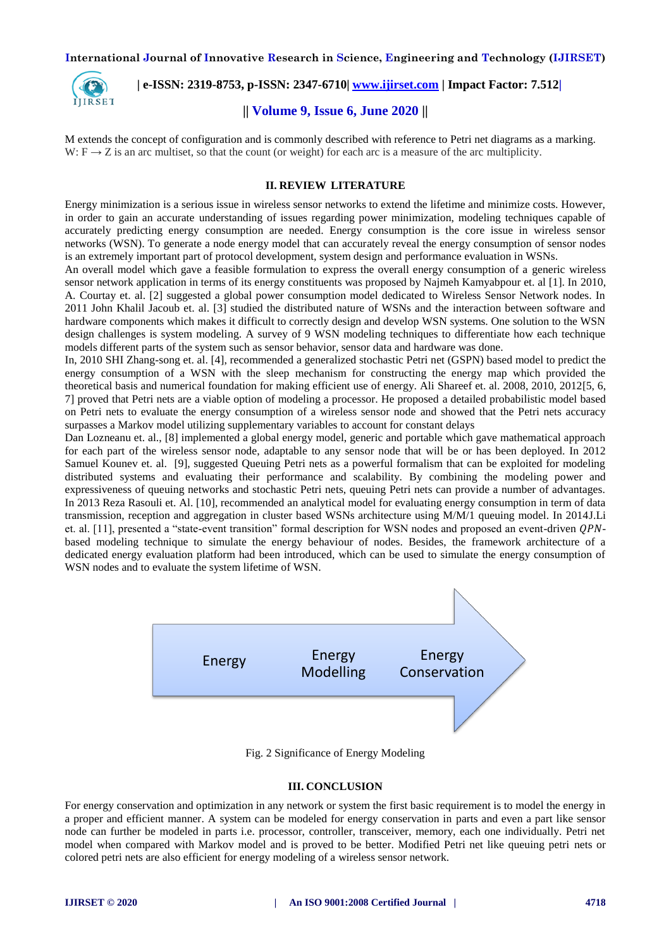

 **| e-ISSN: 2319-8753, p-ISSN: 2347-6710| [www.ijirset.com](http://www.ijirset.com/) | Impact Factor: 7.512|**

## **|| Volume 9, Issue 6, June 2020 ||**

M extends the concept of configuration and is commonly described with reference to Petri net diagrams as a marking. W:  $F \rightarrow Z$  is an arc multiset, so that the count (or weight) for each arc is a measure of the arc multiplicity.

#### **II. REVIEW LITERATURE**

Energy minimization is a serious issue in wireless sensor networks to extend the lifetime and minimize costs. However, in order to gain an accurate understanding of issues regarding power minimization, modeling techniques capable of accurately predicting energy consumption are needed. Energy consumption is the core issue in wireless sensor networks (WSN). To generate a node energy model that can accurately reveal the energy consumption of sensor nodes is an extremely important part of protocol development, system design and performance evaluation in WSNs.

An overall model which gave a feasible formulation to express the overall energy consumption of a generic wireless sensor network application in terms of its energy constituents was proposed by Najmeh Kamyabpour et. al [1]. In 2010, A. Courtay et. al. [2] suggested a global power consumption model dedicated to Wireless Sensor Network nodes. In 2011 John Khalil Jacoub et. al. [3] studied the distributed nature of WSNs and the interaction between software and hardware components which makes it difficult to correctly design and develop WSN systems. One solution to the WSN design challenges is system modeling. A survey of 9 WSN modeling techniques to differentiate how each technique models different parts of the system such as sensor behavior, sensor data and hardware was done.

In, 2010 SHI Zhang-song et. al. [4], recommended a generalized stochastic Petri net (GSPN) based model to predict the energy consumption of a WSN with the sleep mechanism for constructing the energy map which provided the theoretical basis and numerical foundation for making efficient use of energy. Ali Shareef et. al. 2008, 2010, 2012[5, 6, 7] proved that Petri nets are a viable option of modeling a processor. He proposed a detailed probabilistic model based on Petri nets to evaluate the energy consumption of a wireless sensor node and showed that the Petri nets accuracy surpasses a Markov model utilizing supplementary variables to account for constant delays

Dan Lozneanu et. al., [8] implemented a global energy model, generic and portable which gave mathematical approach for each part of the wireless sensor node, adaptable to any sensor node that will be or has been deployed. In 2012 Samuel Kounev et. al. [9], suggested Queuing Petri nets as a powerful formalism that can be exploited for modeling distributed systems and evaluating their performance and scalability. By combining the modeling power and expressiveness of queuing networks and stochastic Petri nets, queuing Petri nets can provide a number of advantages. In 2013 Reza Rasouli et. Al. [10], recommended an analytical model for evaluating energy consumption in term of data transmission, reception and aggregation in cluster based WSNs architecture using M/M/1 queuing model. In 2014J.Li et. al. [11], presented a "state-event transition" formal description for WSN nodes and proposed an event-driven QPNbased modeling technique to simulate the energy behaviour of nodes. Besides, the framework architecture of a dedicated energy evaluation platform had been introduced, which can be used to simulate the energy consumption of WSN nodes and to evaluate the system lifetime of WSN.



Fig. 2 Significance of Energy Modeling

#### **III. CONCLUSION**

For energy conservation and optimization in any network or system the first basic requirement is to model the energy in a proper and efficient manner. A system can be modeled for energy conservation in parts and even a part like sensor node can further be modeled in parts i.e. processor, controller, transceiver, memory, each one individually. Petri net model when compared with Markov model and is proved to be better. Modified Petri net like queuing petri nets or colored petri nets are also efficient for energy modeling of a wireless sensor network.